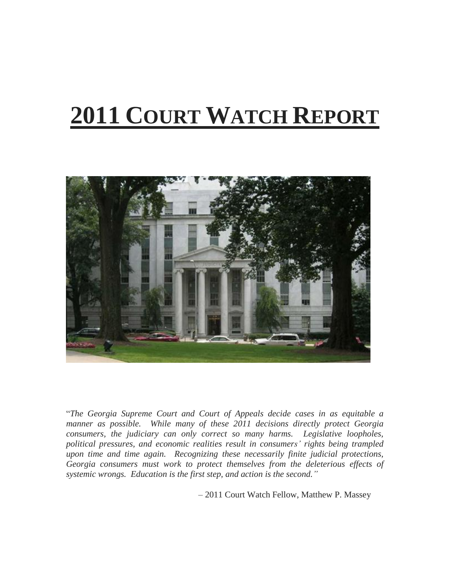# **2011 COURT WATCH REPORT**



"*The Georgia Supreme Court and Court of Appeals decide cases in as equitable a manner as possible. While many of these 2011 decisions directly protect Georgia consumers, the judiciary can only correct so many harms. Legislative loopholes, political pressures, and economic realities result in consumers' rights being trampled upon time and time again. Recognizing these necessarily finite judicial protections, Georgia consumers must work to protect themselves from the deleterious effects of systemic wrongs. Education is the first step, and action is the second."*

– 2011 Court Watch Fellow, Matthew P. Massey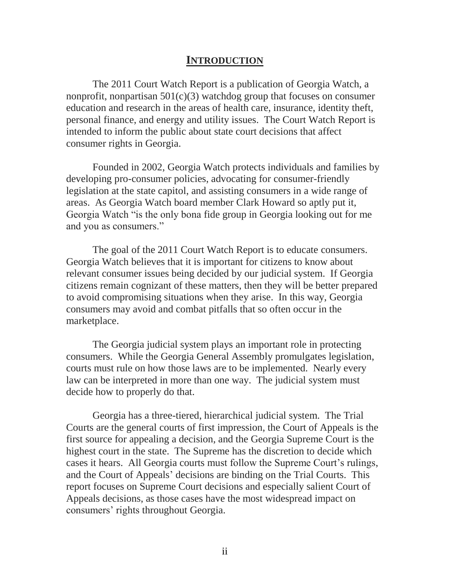# **INTRODUCTION**

The 2011 Court Watch Report is a publication of Georgia Watch, a nonprofit, nonpartisan  $501(c)(3)$  watchdog group that focuses on consumer education and research in the areas of health care, insurance, identity theft, personal finance, and energy and utility issues. The Court Watch Report is intended to inform the public about state court decisions that affect consumer rights in Georgia.

Founded in 2002, Georgia Watch protects individuals and families by developing pro-consumer policies, advocating for consumer-friendly legislation at the state capitol, and assisting consumers in a wide range of areas. As Georgia Watch board member Clark Howard so aptly put it, Georgia Watch "is the only bona fide group in Georgia looking out for me and you as consumers."

The goal of the 2011 Court Watch Report is to educate consumers. Georgia Watch believes that it is important for citizens to know about relevant consumer issues being decided by our judicial system. If Georgia citizens remain cognizant of these matters, then they will be better prepared to avoid compromising situations when they arise. In this way, Georgia consumers may avoid and combat pitfalls that so often occur in the marketplace.

The Georgia judicial system plays an important role in protecting consumers. While the Georgia General Assembly promulgates legislation, courts must rule on how those laws are to be implemented. Nearly every law can be interpreted in more than one way. The judicial system must decide how to properly do that.

Georgia has a three-tiered, hierarchical judicial system. The Trial Courts are the general courts of first impression, the Court of Appeals is the first source for appealing a decision, and the Georgia Supreme Court is the highest court in the state. The Supreme has the discretion to decide which cases it hears. All Georgia courts must follow the Supreme Court's rulings, and the Court of Appeals' decisions are binding on the Trial Courts. This report focuses on Supreme Court decisions and especially salient Court of Appeals decisions, as those cases have the most widespread impact on consumers' rights throughout Georgia.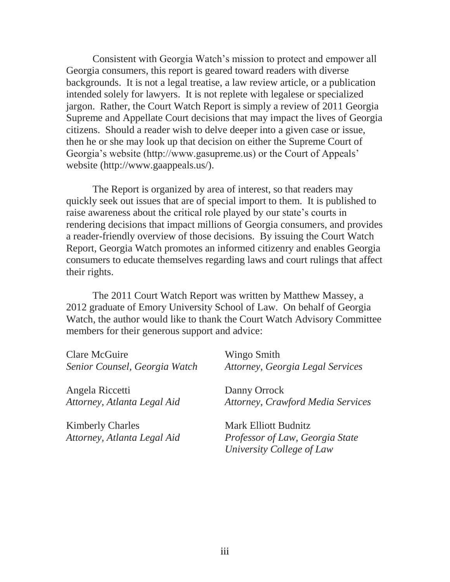Consistent with Georgia Watch's mission to protect and empower all Georgia consumers, this report is geared toward readers with diverse backgrounds. It is not a legal treatise, a law review article, or a publication intended solely for lawyers. It is not replete with legalese or specialized jargon. Rather, the Court Watch Report is simply a review of 2011 Georgia Supreme and Appellate Court decisions that may impact the lives of Georgia citizens. Should a reader wish to delve deeper into a given case or issue, then he or she may look up that decision on either the Supreme Court of Georgia's website (http://www.gasupreme.us) or the Court of Appeals' website (http://www.gaappeals.us/).

The Report is organized by area of interest, so that readers may quickly seek out issues that are of special import to them. It is published to raise awareness about the critical role played by our state's courts in rendering decisions that impact millions of Georgia consumers, and provides a reader-friendly overview of those decisions. By issuing the Court Watch Report, Georgia Watch promotes an informed citizenry and enables Georgia consumers to educate themselves regarding laws and court rulings that affect their rights.

The 2011 Court Watch Report was written by Matthew Massey, a 2012 graduate of Emory University School of Law. On behalf of Georgia Watch, the author would like to thank the Court Watch Advisory Committee members for their generous support and advice:

| <b>Clare McGuire</b>          | Wingo Smith                             |
|-------------------------------|-----------------------------------------|
| Senior Counsel, Georgia Watch | <b>Attorney, Georgia Legal Services</b> |
| Angela Riccetti               | Danny Orrock                            |
| Attorney, Atlanta Legal Aid   | Attorney, Crawford Media Services       |
| <b>Kimberly Charles</b>       | <b>Mark Elliott Budnitz</b>             |
| Attorney, Atlanta Legal Aid   | Professor of Law, Georgia State         |
|                               | University College of Law               |
|                               |                                         |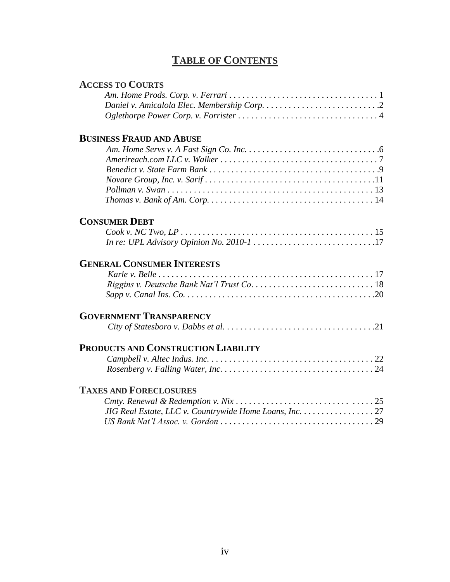# **TABLE OF CONTENTS**

#### **ACCESS TO COURTS**

# **BUSINESS FRAUD AND ABUSE**

# **CONSUMER DEBT**

# **GENERAL CONSUMER INTERESTS**

# **GOVERNMENT TRANSPARENCY**

|--|

# **PRODUCTS AND CONSTRUCTION LIABILITY**

# **TAXES AND FORECLOSURES**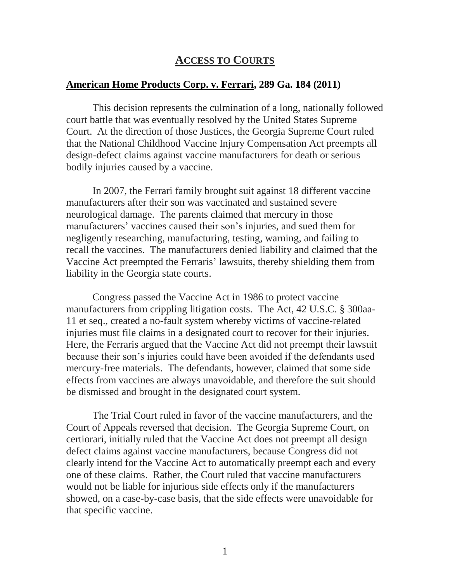# **ACCESS TO COURTS**

#### <span id="page-4-0"></span>**[American Home Products Corp. v. Ferrari, 289 Ga. 184 \(2011\)](http://www.gasupreme.us/sc-op/pdf/s07g1708_sub.pdf)**

This decision represents the culmination of a long, nationally followed court battle that was eventually resolved by the United States Supreme Court. At the direction of those Justices, the Georgia Supreme Court ruled that the National Childhood Vaccine Injury Compensation Act preempts all design-defect claims against vaccine manufacturers for death or serious bodily injuries caused by a vaccine.

In 2007, the Ferrari family brought suit against 18 different vaccine manufacturers after their son was vaccinated and sustained severe neurological damage. The parents claimed that mercury in those manufacturers' vaccines caused their son's injuries, and sued them for negligently researching, manufacturing, testing, warning, and failing to recall the vaccines. The manufacturers denied liability and claimed that the Vaccine Act preempted the Ferraris' lawsuits, thereby shielding them from liability in the Georgia state courts.

Congress passed the Vaccine Act in 1986 to protect vaccine manufacturers from crippling litigation costs. The Act, 42 U.S.C. § 300aa-11 et seq., created a no-fault system whereby victims of vaccine-related injuries must file claims in a designated court to recover for their injuries. Here, the Ferraris argued that the Vaccine Act did not preempt their lawsuit because their son's injuries could have been avoided if the defendants used mercury-free materials. The defendants, however, claimed that some side effects from vaccines are always unavoidable, and therefore the suit should be dismissed and brought in the designated court system.

The Trial Court ruled in favor of the vaccine manufacturers, and the Court of Appeals reversed that decision. The Georgia Supreme Court, on certiorari, initially ruled that the Vaccine Act does not preempt all design defect claims against vaccine manufacturers, because Congress did not clearly intend for the Vaccine Act to automatically preempt each and every one of these claims. Rather, the Court ruled that vaccine manufacturers would not be liable for injurious side effects only if the manufacturers showed, on a case-by-case basis, that the side effects were unavoidable for that specific vaccine.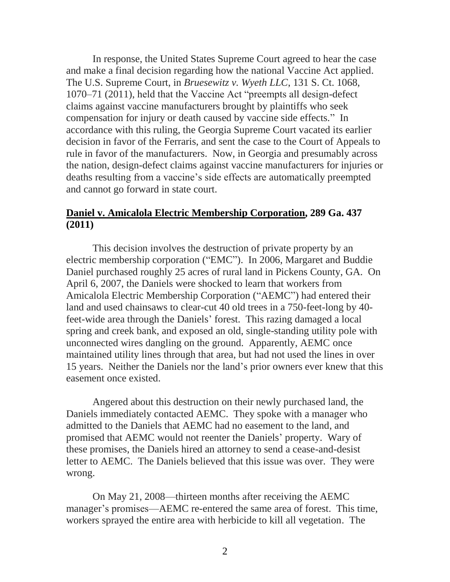In response, the United States Supreme Court agreed to hear the case and make a final decision regarding how the national Vaccine Act applied. The U.S. Supreme Court, in *Bruesewitz v. Wyeth LLC*, 131 S. Ct. 1068, 1070–71 (2011), held that the Vaccine Act "preempts all design-defect claims against vaccine manufacturers brought by plaintiffs who seek compensation for injury or death caused by vaccine side effects." In accordance with this ruling, the Georgia Supreme Court vacated its earlier decision in favor of the Ferraris, and sent the case to the Court of Appeals to rule in favor of the manufacturers. Now, in Georgia and presumably across the nation, design-defect claims against vaccine manufacturers for injuries or deaths resulting from a vaccine's side effects are automatically preempted and cannot go forward in state court.

#### <span id="page-5-0"></span>**[Daniel v. Amicalola Electric Membership Corporation, 289 Ga. 437](http://www.gasupreme.us/sc-op/pdf/s11a0019.pdf)  [\(2011\)](http://www.gasupreme.us/sc-op/pdf/s11a0019.pdf)**

This decision involves the destruction of private property by an electric membership corporation ("EMC"). In 2006, Margaret and Buddie Daniel purchased roughly 25 acres of rural land in Pickens County, GA. On April 6, 2007, the Daniels were shocked to learn that workers from Amicalola Electric Membership Corporation ("AEMC") had entered their land and used chainsaws to clear-cut 40 old trees in a 750-feet-long by 40 feet-wide area through the Daniels' forest. This razing damaged a local spring and creek bank, and exposed an old, single-standing utility pole with unconnected wires dangling on the ground. Apparently, AEMC once maintained utility lines through that area, but had not used the lines in over 15 years. Neither the Daniels nor the land's prior owners ever knew that this easement once existed.

Angered about this destruction on their newly purchased land, the Daniels immediately contacted AEMC. They spoke with a manager who admitted to the Daniels that AEMC had no easement to the land, and promised that AEMC would not reenter the Daniels' property. Wary of these promises, the Daniels hired an attorney to send a cease-and-desist letter to AEMC. The Daniels believed that this issue was over. They were wrong.

On May 21, 2008—thirteen months after receiving the AEMC manager's promises—AEMC re-entered the same area of forest. This time, workers sprayed the entire area with herbicide to kill all vegetation. The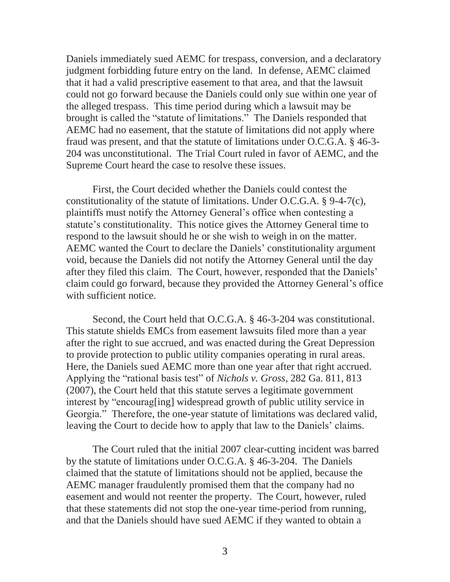Daniels immediately sued AEMC for trespass, conversion, and a declaratory judgment forbidding future entry on the land. In defense, AEMC claimed that it had a valid prescriptive easement to that area, and that the lawsuit could not go forward because the Daniels could only sue within one year of the alleged trespass. This time period during which a lawsuit may be brought is called the "statute of limitations." The Daniels responded that AEMC had no easement, that the statute of limitations did not apply where fraud was present, and that the statute of limitations under O.C.G.A. § 46-3- 204 was unconstitutional. The Trial Court ruled in favor of AEMC, and the Supreme Court heard the case to resolve these issues.

First, the Court decided whether the Daniels could contest the constitutionality of the statute of limitations. Under O.C.G.A. § 9-4-7(c), plaintiffs must notify the Attorney General's office when contesting a statute's constitutionality. This notice gives the Attorney General time to respond to the lawsuit should he or she wish to weigh in on the matter. AEMC wanted the Court to declare the Daniels' constitutionality argument void, because the Daniels did not notify the Attorney General until the day after they filed this claim. The Court, however, responded that the Daniels' claim could go forward, because they provided the Attorney General's office with sufficient notice.

Second, the Court held that O.C.G.A. § 46-3-204 was constitutional. This statute shields EMCs from easement lawsuits filed more than a year after the right to sue accrued, and was enacted during the Great Depression to provide protection to public utility companies operating in rural areas. Here, the Daniels sued AEMC more than one year after that right accrued. Applying the "rational basis test" of *Nichols v. Gross*, 282 Ga. 811, 813 (2007), the Court held that this statute serves a legitimate government interest by "encourag[ing] widespread growth of public utility service in Georgia." Therefore, the one-year statute of limitations was declared valid, leaving the Court to decide how to apply that law to the Daniels' claims.

The Court ruled that the initial 2007 clear-cutting incident was barred by the statute of limitations under O.C.G.A. § 46-3-204. The Daniels claimed that the statute of limitations should not be applied, because the AEMC manager fraudulently promised them that the company had no easement and would not reenter the property. The Court, however, ruled that these statements did not stop the one-year time-period from running, and that the Daniels should have sued AEMC if they wanted to obtain a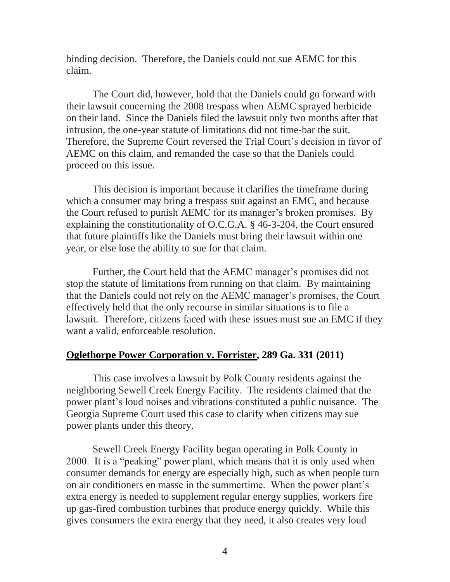binding decision. Therefore, the Daniels could not sue AEMC for this claim.

The Court did, however, hold that the Daniels could go forward with their lawsuit concerning the 2008 trespass when AEMC sprayed herbicide on their land. Since the Daniels filed the lawsuit only two months after that intrusion, the one-year statute of limitations did not time-bar the suit. Therefore, the Supreme Court reversed the Trial Court's decision in favor of AEMC on this claim, and remanded the case so that the Daniels could proceed on this issue.

This decision is important because it clarifies the timeframe during which a consumer may bring a trespass suit against an EMC, and because the Court refused to punish AEMC for its manager's broken promises. By explaining the constitutionality of O.C.G.A. § 46-3-204, the Court ensured that future plaintiffs like the Daniels must bring their lawsuit within one year, or else lose the ability to sue for that claim.

Further, the Court held that the AEMC manager's promises did not stop the statute of limitations from running on that claim. By maintaining that the Daniels could not rely on the AEMC manager's promises, the Court effectively held that the only recourse in similar situations is to file a lawsuit. Therefore, citizens faced with these issues must sue an EMC if they want a valid, enforceable resolution.

#### <span id="page-7-0"></span>**[Oglethorpe Power Corporation v. Forrister, 289 Ga. 331 \(2011\)](http://www.gasupreme.us/sc-op/pdf/s10g1244.pdf)**

This case involves a lawsuit by Polk County residents against the neighboring Sewell Creek Energy Facility. The residents claimed that the power plant's loud noises and vibrations constituted a public nuisance. The Georgia Supreme Court used this case to clarify when citizens may sue power plants under this theory.

Sewell Creek Energy Facility began operating in Polk County in 2000. It is a "peaking" power plant, which means that it is only used when consumer demands for energy are especially high, such as when people turn on air conditioners en masse in the summertime. When the power plant's extra energy is needed to supplement regular energy supplies, workers fire up gas-fired combustion turbines that produce energy quickly. While this gives consumers the extra energy that they need, it also creates very loud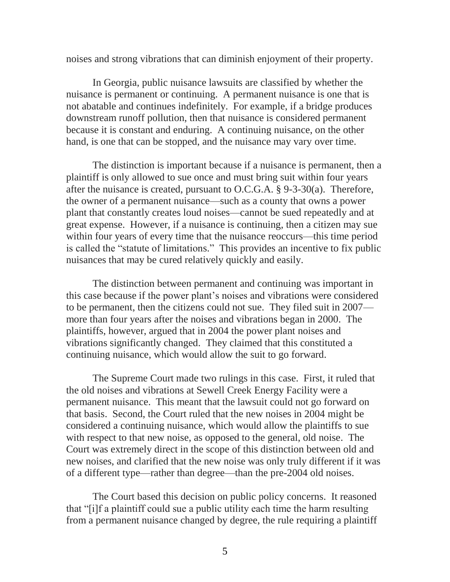noises and strong vibrations that can diminish enjoyment of their property.

In Georgia, public nuisance lawsuits are classified by whether the nuisance is permanent or continuing. A permanent nuisance is one that is not abatable and continues indefinitely. For example, if a bridge produces downstream runoff pollution, then that nuisance is considered permanent because it is constant and enduring. A continuing nuisance, on the other hand, is one that can be stopped, and the nuisance may vary over time.

The distinction is important because if a nuisance is permanent, then a plaintiff is only allowed to sue once and must bring suit within four years after the nuisance is created, pursuant to O.C.G.A. § 9-3-30(a). Therefore, the owner of a permanent nuisance—such as a county that owns a power plant that constantly creates loud noises—cannot be sued repeatedly and at great expense. However, if a nuisance is continuing, then a citizen may sue within four years of every time that the nuisance reoccurs—this time period is called the "statute of limitations." This provides an incentive to fix public nuisances that may be cured relatively quickly and easily.

The distinction between permanent and continuing was important in this case because if the power plant's noises and vibrations were considered to be permanent, then the citizens could not sue. They filed suit in 2007 more than four years after the noises and vibrations began in 2000. The plaintiffs, however, argued that in 2004 the power plant noises and vibrations significantly changed. They claimed that this constituted a continuing nuisance, which would allow the suit to go forward.

The Supreme Court made two rulings in this case. First, it ruled that the old noises and vibrations at Sewell Creek Energy Facility were a permanent nuisance. This meant that the lawsuit could not go forward on that basis. Second, the Court ruled that the new noises in 2004 might be considered a continuing nuisance, which would allow the plaintiffs to sue with respect to that new noise, as opposed to the general, old noise. The Court was extremely direct in the scope of this distinction between old and new noises, and clarified that the new noise was only truly different if it was of a different type—rather than degree—than the pre-2004 old noises.

The Court based this decision on public policy concerns. It reasoned that "[i]f a plaintiff could sue a public utility each time the harm resulting from a permanent nuisance changed by degree, the rule requiring a plaintiff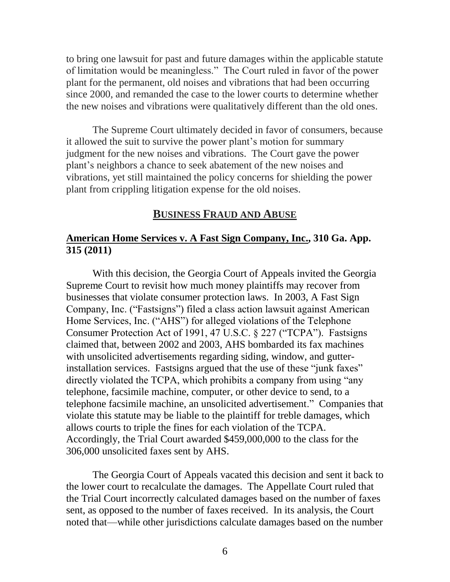to bring one lawsuit for past and future damages within the applicable statute of limitation would be meaningless." The Court ruled in favor of the power plant for the permanent, old noises and vibrations that had been occurring since 2000, and remanded the case to the lower courts to determine whether the new noises and vibrations were qualitatively different than the old ones.

The Supreme Court ultimately decided in favor of consumers, because it allowed the suit to survive the power plant's motion for summary judgment for the new noises and vibrations. The Court gave the power plant's neighbors a chance to seek abatement of the new noises and vibrations, yet still maintained the policy concerns for shielding the power plant from crippling litigation expense for the old noises.

#### **BUSINESS FRAUD AND ABUSE**

# <span id="page-9-0"></span>**American Home Services v. A Fast Sign Company, Inc., 310 Ga. App. 315 (2011)**

With this decision, the Georgia Court of Appeals invited the Georgia Supreme Court to revisit how much money plaintiffs may recover from businesses that violate consumer protection laws. In 2003, A Fast Sign Company, Inc. ("Fastsigns") filed a class action lawsuit against American Home Services, Inc. ("AHS") for alleged violations of the Telephone Consumer Protection Act of 1991, 47 U.S.C. § 227 ("TCPA"). Fastsigns claimed that, between 2002 and 2003, AHS bombarded its fax machines with unsolicited advertisements regarding siding, window, and gutterinstallation services. Fastsigns argued that the use of these "junk faxes" directly violated the TCPA, which prohibits a company from using "any telephone, facsimile machine, computer, or other device to send, to a telephone facsimile machine, an unsolicited advertisement." Companies that violate this statute may be liable to the plaintiff for treble damages, which allows courts to triple the fines for each violation of the TCPA. Accordingly, the Trial Court awarded \$459,000,000 to the class for the 306,000 unsolicited faxes sent by AHS.

The Georgia Court of Appeals vacated this decision and sent it back to the lower court to recalculate the damages. The Appellate Court ruled that the Trial Court incorrectly calculated damages based on the number of faxes sent, as opposed to the number of faxes received. In its analysis, the Court noted that—while other jurisdictions calculate damages based on the number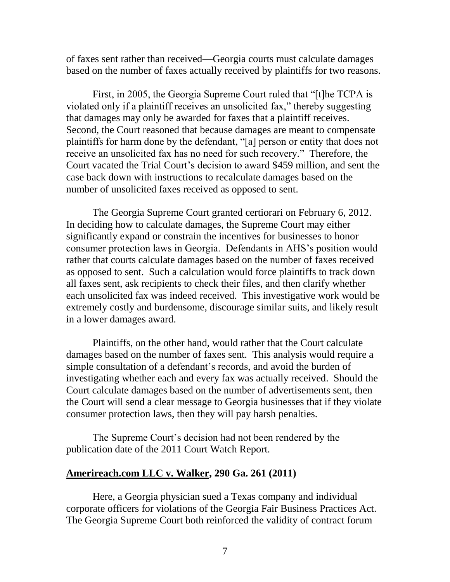of faxes sent rather than received—Georgia courts must calculate damages based on the number of faxes actually received by plaintiffs for two reasons.

First, in 2005, the Georgia Supreme Court ruled that "[t]he TCPA is violated only if a plaintiff receives an unsolicited fax," thereby suggesting that damages may only be awarded for faxes that a plaintiff receives. Second, the Court reasoned that because damages are meant to compensate plaintiffs for harm done by the defendant, "[a] person or entity that does not receive an unsolicited fax has no need for such recovery." Therefore, the Court vacated the Trial Court's decision to award \$459 million, and sent the case back down with instructions to recalculate damages based on the number of unsolicited faxes received as opposed to sent.

The Georgia Supreme Court granted certiorari on February 6, 2012. In deciding how to calculate damages, the Supreme Court may either significantly expand or constrain the incentives for businesses to honor consumer protection laws in Georgia. Defendants in AHS's position would rather that courts calculate damages based on the number of faxes received as opposed to sent. Such a calculation would force plaintiffs to track down all faxes sent, ask recipients to check their files, and then clarify whether each unsolicited fax was indeed received. This investigative work would be extremely costly and burdensome, discourage similar suits, and likely result in a lower damages award.

Plaintiffs, on the other hand, would rather that the Court calculate damages based on the number of faxes sent. This analysis would require a simple consultation of a defendant's records, and avoid the burden of investigating whether each and every fax was actually received. Should the Court calculate damages based on the number of advertisements sent, then the Court will send a clear message to Georgia businesses that if they violate consumer protection laws, then they will pay harsh penalties.

The Supreme Court's decision had not been rendered by the publication date of the 2011 Court Watch Report.

#### <span id="page-10-0"></span>**[Amerireach.com LLC v. Walker, 290 Ga. 261 \(2011\)](http://www.gasupreme.us/sc-op/pdf/s11g0417.pdf)**

Here, a Georgia physician sued a Texas company and individual corporate officers for violations of the Georgia Fair Business Practices Act. The Georgia Supreme Court both reinforced the validity of contract forum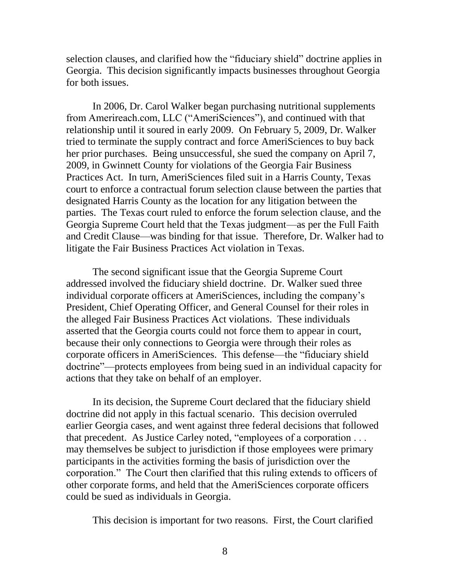selection clauses, and clarified how the "fiduciary shield" doctrine applies in Georgia. This decision significantly impacts businesses throughout Georgia for both issues.

In 2006, Dr. Carol Walker began purchasing nutritional supplements from Amerireach.com, LLC ("AmeriSciences"), and continued with that relationship until it soured in early 2009. On February 5, 2009, Dr. Walker tried to terminate the supply contract and force AmeriSciences to buy back her prior purchases. Being unsuccessful, she sued the company on April 7, 2009, in Gwinnett County for violations of the Georgia Fair Business Practices Act. In turn, AmeriSciences filed suit in a Harris County, Texas court to enforce a contractual forum selection clause between the parties that designated Harris County as the location for any litigation between the parties. The Texas court ruled to enforce the forum selection clause, and the Georgia Supreme Court held that the Texas judgment—as per the Full Faith and Credit Clause—was binding for that issue. Therefore, Dr. Walker had to litigate the Fair Business Practices Act violation in Texas.

The second significant issue that the Georgia Supreme Court addressed involved the fiduciary shield doctrine. Dr. Walker sued three individual corporate officers at AmeriSciences, including the company's President, Chief Operating Officer, and General Counsel for their roles in the alleged Fair Business Practices Act violations. These individuals asserted that the Georgia courts could not force them to appear in court, because their only connections to Georgia were through their roles as corporate officers in AmeriSciences. This defense—the "fiduciary shield doctrine"—protects employees from being sued in an individual capacity for actions that they take on behalf of an employer.

In its decision, the Supreme Court declared that the fiduciary shield doctrine did not apply in this factual scenario. This decision overruled earlier Georgia cases, and went against three federal decisions that followed that precedent. As Justice Carley noted, "employees of a corporation . . . may themselves be subject to jurisdiction if those employees were primary participants in the activities forming the basis of jurisdiction over the corporation." The Court then clarified that this ruling extends to officers of other corporate forms, and held that the AmeriSciences corporate officers could be sued as individuals in Georgia.

This decision is important for two reasons. First, the Court clarified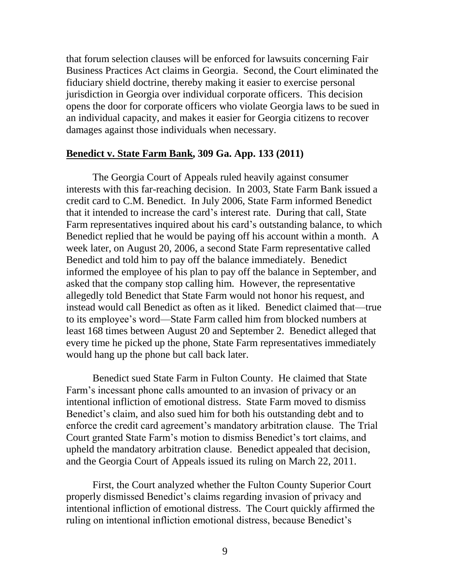that forum selection clauses will be enforced for lawsuits concerning Fair Business Practices Act claims in Georgia. Second, the Court eliminated the fiduciary shield doctrine, thereby making it easier to exercise personal jurisdiction in Georgia over individual corporate officers. This decision opens the door for corporate officers who violate Georgia laws to be sued in an individual capacity, and makes it easier for Georgia citizens to recover damages against those individuals when necessary.

#### <span id="page-12-0"></span>**Benedict v. State Farm Bank, 309 Ga. App. 133 (2011)**

The Georgia Court of Appeals ruled heavily against consumer interests with this far-reaching decision. In 2003, State Farm Bank issued a credit card to C.M. Benedict. In July 2006, State Farm informed Benedict that it intended to increase the card's interest rate. During that call, State Farm representatives inquired about his card's outstanding balance, to which Benedict replied that he would be paying off his account within a month. A week later, on August 20, 2006, a second State Farm representative called Benedict and told him to pay off the balance immediately. Benedict informed the employee of his plan to pay off the balance in September, and asked that the company stop calling him. However, the representative allegedly told Benedict that State Farm would not honor his request, and instead would call Benedict as often as it liked. Benedict claimed that—true to its employee's word—State Farm called him from blocked numbers at least 168 times between August 20 and September 2. Benedict alleged that every time he picked up the phone, State Farm representatives immediately would hang up the phone but call back later.

Benedict sued State Farm in Fulton County. He claimed that State Farm's incessant phone calls amounted to an invasion of privacy or an intentional infliction of emotional distress. State Farm moved to dismiss Benedict's claim, and also sued him for both his outstanding debt and to enforce the credit card agreement's mandatory arbitration clause. The Trial Court granted State Farm's motion to dismiss Benedict's tort claims, and upheld the mandatory arbitration clause. Benedict appealed that decision, and the Georgia Court of Appeals issued its ruling on March 22, 2011.

First, the Court analyzed whether the Fulton County Superior Court properly dismissed Benedict's claims regarding invasion of privacy and intentional infliction of emotional distress. The Court quickly affirmed the ruling on intentional infliction emotional distress, because Benedict's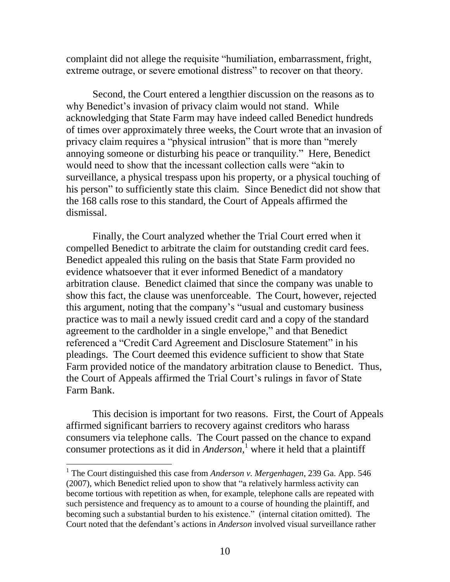complaint did not allege the requisite "humiliation, embarrassment, fright, extreme outrage, or severe emotional distress" to recover on that theory.

Second, the Court entered a lengthier discussion on the reasons as to why Benedict's invasion of privacy claim would not stand. While acknowledging that State Farm may have indeed called Benedict hundreds of times over approximately three weeks, the Court wrote that an invasion of privacy claim requires a "physical intrusion" that is more than "merely annoying someone or disturbing his peace or tranquility." Here, Benedict would need to show that the incessant collection calls were "akin to surveillance, a physical trespass upon his property, or a physical touching of his person" to sufficiently state this claim. Since Benedict did not show that the 168 calls rose to this standard, the Court of Appeals affirmed the dismissal.

Finally, the Court analyzed whether the Trial Court erred when it compelled Benedict to arbitrate the claim for outstanding credit card fees. Benedict appealed this ruling on the basis that State Farm provided no evidence whatsoever that it ever informed Benedict of a mandatory arbitration clause. Benedict claimed that since the company was unable to show this fact, the clause was unenforceable. The Court, however, rejected this argument, noting that the company's "usual and customary business practice was to mail a newly issued credit card and a copy of the standard agreement to the cardholder in a single envelope," and that Benedict referenced a "Credit Card Agreement and Disclosure Statement" in his pleadings. The Court deemed this evidence sufficient to show that State Farm provided notice of the mandatory arbitration clause to Benedict. Thus, the Court of Appeals affirmed the Trial Court's rulings in favor of State Farm Bank.

This decision is important for two reasons. First, the Court of Appeals affirmed significant barriers to recovery against creditors who harass consumers via telephone calls. The Court passed on the chance to expand consumer protections as it did in *Anderson*, <sup>1</sup> where it held that a plaintiff

 $\overline{a}$ 

<sup>&</sup>lt;sup>1</sup> The Court distinguished this case from *Anderson v. Mergenhagen*, 239 Ga. App. 546 (2007), which Benedict relied upon to show that "a relatively harmless activity can become tortious with repetition as when, for example, telephone calls are repeated with such persistence and frequency as to amount to a course of hounding the plaintiff, and becoming such a substantial burden to his existence." (internal citation omitted). The Court noted that the defendant's actions in *Anderson* involved visual surveillance rather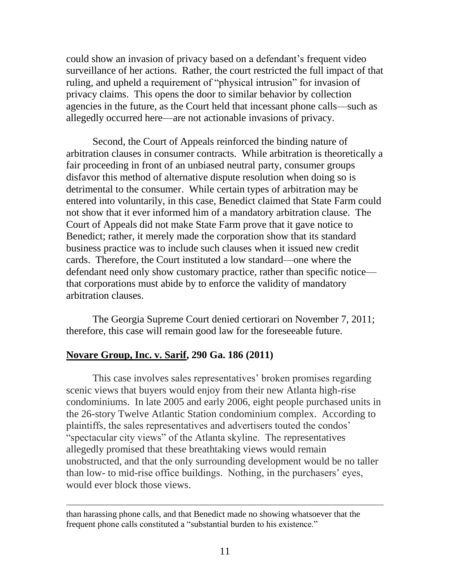could show an invasion of privacy based on a defendant's frequent video surveillance of her actions. Rather, the court restricted the full impact of that ruling, and upheld a requirement of "physical intrusion" for invasion of privacy claims. This opens the door to similar behavior by collection agencies in the future, as the Court held that incessant phone calls—such as allegedly occurred here—are not actionable invasions of privacy.

Second, the Court of Appeals reinforced the binding nature of arbitration clauses in consumer contracts. While arbitration is theoretically a fair proceeding in front of an unbiased neutral party, consumer groups disfavor this method of alternative dispute resolution when doing so is detrimental to the consumer. While certain types of arbitration may be entered into voluntarily, in this case, Benedict claimed that State Farm could not show that it ever informed him of a mandatory arbitration clause. The Court of Appeals did not make State Farm prove that it gave notice to Benedict; rather, it merely made the corporation show that its standard business practice was to include such clauses when it issued new credit cards. Therefore, the Court instituted a low standard—one where the defendant need only show customary practice, rather than specific notice that corporations must abide by to enforce the validity of mandatory arbitration clauses.

The Georgia Supreme Court denied certiorari on November 7, 2011; therefore, this case will remain good law for the foreseeable future.

#### <span id="page-14-0"></span>**[Novare Group, Inc. v. Sarif, 290 Ga. 186 \(2011\)](http://www.gasupreme.us/sc-op/pdf/s11g0478.pdf)**

 $\overline{a}$ 

This case involves sales representatives' broken promises regarding scenic views that buyers would enjoy from their new Atlanta high-rise condominiums. In late 2005 and early 2006, eight people purchased units in the 26-story Twelve Atlantic Station condominium complex. According to plaintiffs, the sales representatives and advertisers touted the condos' "spectacular city views" of the Atlanta skyline. The representatives allegedly promised that these breathtaking views would remain unobstructed, and that the only surrounding development would be no taller than low- to mid-rise office buildings. Nothing, in the purchasers' eyes, would ever block those views.

than harassing phone calls, and that Benedict made no showing whatsoever that the frequent phone calls constituted a "substantial burden to his existence."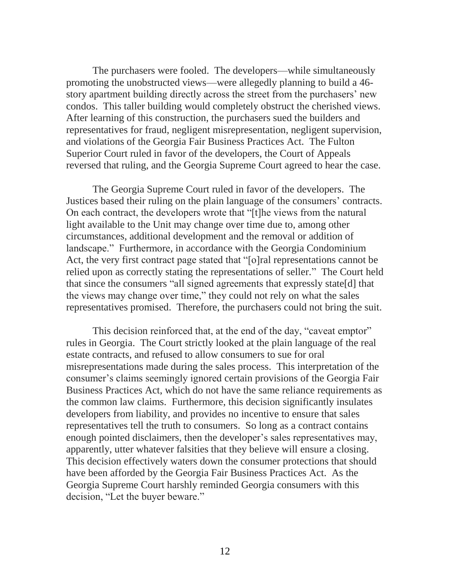The purchasers were fooled. The developers—while simultaneously promoting the unobstructed views—were allegedly planning to build a 46 story apartment building directly across the street from the purchasers' new condos. This taller building would completely obstruct the cherished views. After learning of this construction, the purchasers sued the builders and representatives for fraud, negligent misrepresentation, negligent supervision, and violations of the Georgia Fair Business Practices Act. The Fulton Superior Court ruled in favor of the developers, the Court of Appeals reversed that ruling, and the Georgia Supreme Court agreed to hear the case.

The Georgia Supreme Court ruled in favor of the developers. The Justices based their ruling on the plain language of the consumers' contracts. On each contract, the developers wrote that "[t]he views from the natural light available to the Unit may change over time due to, among other circumstances, additional development and the removal or addition of landscape." Furthermore, in accordance with the Georgia Condominium Act, the very first contract page stated that "[o]ral representations cannot be relied upon as correctly stating the representations of seller." The Court held that since the consumers "all signed agreements that expressly state[d] that the views may change over time," they could not rely on what the sales representatives promised. Therefore, the purchasers could not bring the suit.

This decision reinforced that, at the end of the day, "caveat emptor" rules in Georgia. The Court strictly looked at the plain language of the real estate contracts, and refused to allow consumers to sue for oral misrepresentations made during the sales process. This interpretation of the consumer's claims seemingly ignored certain provisions of the Georgia Fair Business Practices Act, which do not have the same reliance requirements as the common law claims. Furthermore, this decision significantly insulates developers from liability, and provides no incentive to ensure that sales representatives tell the truth to consumers. So long as a contract contains enough pointed disclaimers, then the developer's sales representatives may, apparently, utter whatever falsities that they believe will ensure a closing. This decision effectively waters down the consumer protections that should have been afforded by the Georgia Fair Business Practices Act. As the Georgia Supreme Court harshly reminded Georgia consumers with this decision, "Let the buyer beware."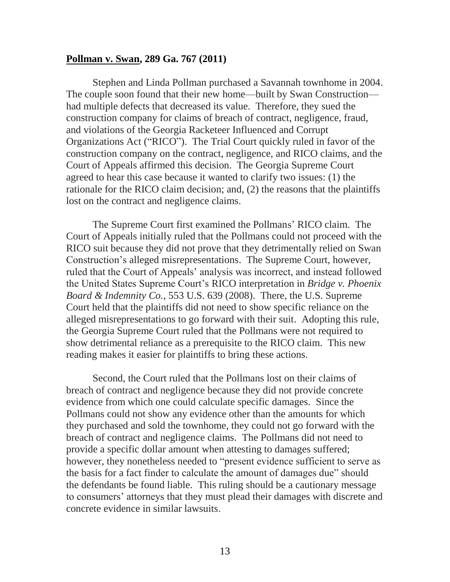#### <span id="page-16-0"></span>**[Pollman v. Swan, 289 Ga. 767 \(2011\)](http://www.gasupreme.us/sc-op/pdf/s10g1989.pdf)**

Stephen and Linda Pollman purchased a Savannah townhome in 2004. The couple soon found that their new home—built by Swan Construction had multiple defects that decreased its value. Therefore, they sued the construction company for claims of breach of contract, negligence, fraud, and violations of the Georgia Racketeer Influenced and Corrupt Organizations Act ("RICO"). The Trial Court quickly ruled in favor of the construction company on the contract, negligence, and RICO claims, and the Court of Appeals affirmed this decision. The Georgia Supreme Court agreed to hear this case because it wanted to clarify two issues: (1) the rationale for the RICO claim decision; and, (2) the reasons that the plaintiffs lost on the contract and negligence claims.

The Supreme Court first examined the Pollmans' RICO claim. The Court of Appeals initially ruled that the Pollmans could not proceed with the RICO suit because they did not prove that they detrimentally relied on Swan Construction's alleged misrepresentations. The Supreme Court, however, ruled that the Court of Appeals' analysis was incorrect, and instead followed the United States Supreme Court's RICO interpretation in *Bridge v. Phoenix Board & Indemnity Co.*, 553 U.S. 639 (2008). There, the U.S. Supreme Court held that the plaintiffs did not need to show specific reliance on the alleged misrepresentations to go forward with their suit. Adopting this rule, the Georgia Supreme Court ruled that the Pollmans were not required to show detrimental reliance as a prerequisite to the RICO claim. This new reading makes it easier for plaintiffs to bring these actions.

Second, the Court ruled that the Pollmans lost on their claims of breach of contract and negligence because they did not provide concrete evidence from which one could calculate specific damages. Since the Pollmans could not show any evidence other than the amounts for which they purchased and sold the townhome, they could not go forward with the breach of contract and negligence claims. The Pollmans did not need to provide a specific dollar amount when attesting to damages suffered; however, they nonetheless needed to "present evidence sufficient to serve as the basis for a fact finder to calculate the amount of damages due" should the defendants be found liable. This ruling should be a cautionary message to consumers' attorneys that they must plead their damages with discrete and concrete evidence in similar lawsuits.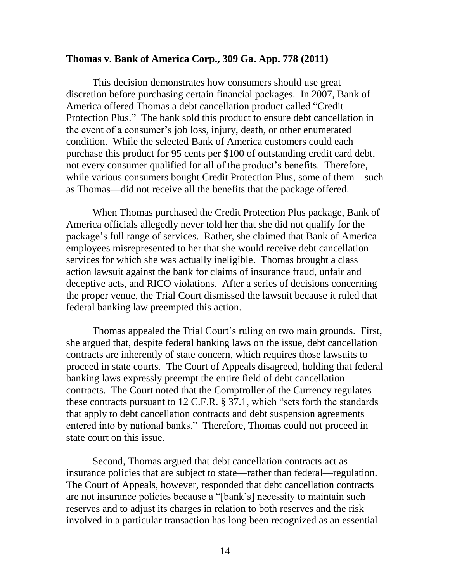#### <span id="page-17-0"></span>**Thomas v. Bank of America Corp., 309 Ga. App. 778 (2011)**

This decision demonstrates how consumers should use great discretion before purchasing certain financial packages. In 2007, Bank of America offered Thomas a debt cancellation product called "Credit Protection Plus." The bank sold this product to ensure debt cancellation in the event of a consumer's job loss, injury, death, or other enumerated condition. While the selected Bank of America customers could each purchase this product for 95 cents per \$100 of outstanding credit card debt, not every consumer qualified for all of the product's benefits. Therefore, while various consumers bought Credit Protection Plus, some of them—such as Thomas—did not receive all the benefits that the package offered.

When Thomas purchased the Credit Protection Plus package, Bank of America officials allegedly never told her that she did not qualify for the package's full range of services. Rather, she claimed that Bank of America employees misrepresented to her that she would receive debt cancellation services for which she was actually ineligible. Thomas brought a class action lawsuit against the bank for claims of insurance fraud, unfair and deceptive acts, and RICO violations. After a series of decisions concerning the proper venue, the Trial Court dismissed the lawsuit because it ruled that federal banking law preempted this action.

Thomas appealed the Trial Court's ruling on two main grounds. First, she argued that, despite federal banking laws on the issue, debt cancellation contracts are inherently of state concern, which requires those lawsuits to proceed in state courts. The Court of Appeals disagreed, holding that federal banking laws expressly preempt the entire field of debt cancellation contracts. The Court noted that the Comptroller of the Currency regulates these contracts pursuant to 12 C.F.R. § 37.1, which "sets forth the standards that apply to debt cancellation contracts and debt suspension agreements entered into by national banks." Therefore, Thomas could not proceed in state court on this issue.

Second, Thomas argued that debt cancellation contracts act as insurance policies that are subject to state—rather than federal—regulation. The Court of Appeals, however, responded that debt cancellation contracts are not insurance policies because a "[bank's] necessity to maintain such reserves and to adjust its charges in relation to both reserves and the risk involved in a particular transaction has long been recognized as an essential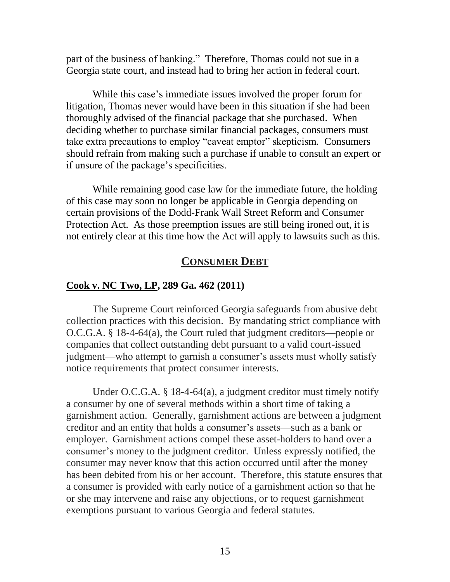part of the business of banking." Therefore, Thomas could not sue in a Georgia state court, and instead had to bring her action in federal court.

While this case's immediate issues involved the proper forum for litigation, Thomas never would have been in this situation if she had been thoroughly advised of the financial package that she purchased. When deciding whether to purchase similar financial packages, consumers must take extra precautions to employ "caveat emptor" skepticism. Consumers should refrain from making such a purchase if unable to consult an expert or if unsure of the package's specificities.

While remaining good case law for the immediate future, the holding of this case may soon no longer be applicable in Georgia depending on certain provisions of the Dodd-Frank Wall Street Reform and Consumer Protection Act. As those preemption issues are still being ironed out, it is not entirely clear at this time how the Act will apply to lawsuits such as this.

# **CONSUMER DEBT**

#### <span id="page-18-0"></span>**[Cook v. NC Two, LP, 289 Ga. 462 \(2011\)](http://www.gasupreme.us/sc-op/pdf/s10g1374.pdf)**

The Supreme Court reinforced Georgia safeguards from abusive debt collection practices with this decision. By mandating strict compliance with O.C.G.A. § 18-4-64(a), the Court ruled that judgment creditors—people or companies that collect outstanding debt pursuant to a valid court-issued judgment—who attempt to garnish a consumer's assets must wholly satisfy notice requirements that protect consumer interests.

Under O.C.G.A. § 18-4-64(a), a judgment creditor must timely notify a consumer by one of several methods within a short time of taking a garnishment action. Generally, garnishment actions are between a judgment creditor and an entity that holds a consumer's assets—such as a bank or employer. Garnishment actions compel these asset-holders to hand over a consumer's money to the judgment creditor. Unless expressly notified, the consumer may never know that this action occurred until after the money has been debited from his or her account. Therefore, this statute ensures that a consumer is provided with early notice of a garnishment action so that he or she may intervene and raise any objections, or to request garnishment exemptions pursuant to various Georgia and federal statutes.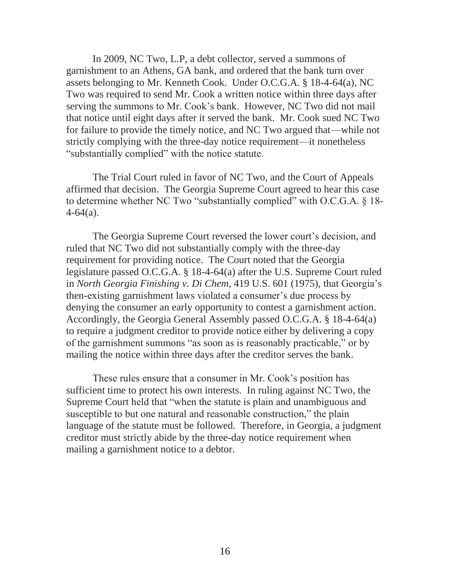In 2009, NC Two, L.P, a debt collector, served a summons of garnishment to an Athens, GA bank, and ordered that the bank turn over assets belonging to Mr. Kenneth Cook. Under O.C.G.A. § 18-4-64(a), NC Two was required to send Mr. Cook a written notice within three days after serving the summons to Mr. Cook's bank. However, NC Two did not mail that notice until eight days after it served the bank. Mr. Cook sued NC Two for failure to provide the timely notice, and NC Two argued that—while not strictly complying with the three-day notice requirement—it nonetheless "substantially complied" with the notice statute.

The Trial Court ruled in favor of NC Two, and the Court of Appeals affirmed that decision. The Georgia Supreme Court agreed to hear this case to determine whether NC Two "substantially complied" with O.C.G.A. § 18-  $4-64(a)$ .

The Georgia Supreme Court reversed the lower court's decision, and ruled that NC Two did not substantially comply with the three-day requirement for providing notice. The Court noted that the Georgia legislature passed O.C.G.A. § 18-4-64(a) after the U.S. Supreme Court ruled in *North Georgia Finishing v. Di Chem*, 419 U.S. 601 (1975), that Georgia's then-existing garnishment laws violated a consumer's due process by denying the consumer an early opportunity to contest a garnishment action. Accordingly, the Georgia General Assembly passed O.C.G.A. § 18-4-64(a) to require a judgment creditor to provide notice either by delivering a copy of the garnishment summons "as soon as is reasonably practicable," or by mailing the notice within three days after the creditor serves the bank.

These rules ensure that a consumer in Mr. Cook's position has sufficient time to protect his own interests. In ruling against NC Two, the Supreme Court held that "when the statute is plain and unambiguous and susceptible to but one natural and reasonable construction," the plain language of the statute must be followed. Therefore, in Georgia, a judgment creditor must strictly abide by the three-day notice requirement when mailing a garnishment notice to a debtor.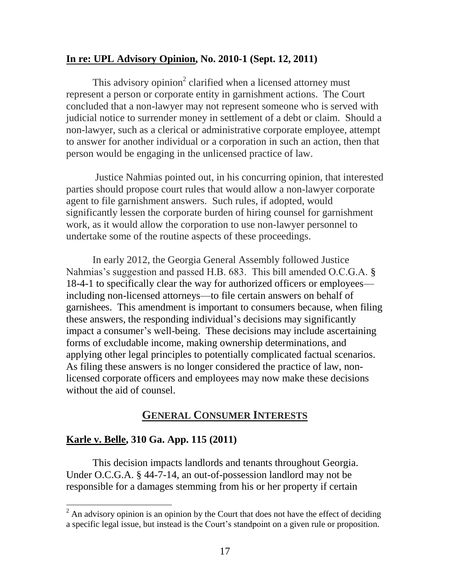# <span id="page-20-0"></span>**[In re: UPL Advisory Opinion, No. 2010-1 \(Sept. 12, 2011\)](http://www.gasupreme.us/sc-op/pdf/s11u0028.pdf)**

This advisory opinion<sup>2</sup> clarified when a licensed attorney must represent a person or corporate entity in garnishment actions. The Court concluded that a non-lawyer may not represent someone who is served with judicial notice to surrender money in settlement of a debt or claim. Should a non-lawyer, such as a clerical or administrative corporate employee, attempt to answer for another individual or a corporation in such an action, then that person would be engaging in the unlicensed practice of law.

Justice Nahmias pointed out, in his concurring opinion, that interested parties should propose court rules that would allow a non-lawyer corporate agent to file garnishment answers. Such rules, if adopted, would significantly lessen the corporate burden of hiring counsel for garnishment work, as it would allow the corporation to use non-lawyer personnel to undertake some of the routine aspects of these proceedings.

In early 2012, the Georgia General Assembly followed Justice Nahmias's suggestion and passed H.B. 683. This bill amended O.C.G.A. § 18-4-1 to specifically clear the way for authorized officers or employees including non-licensed attorneys—to file certain answers on behalf of garnishees. This amendment is important to consumers because, when filing these answers, the responding individual's decisions may significantly impact a consumer's well-being. These decisions may include ascertaining forms of excludable income, making ownership determinations, and applying other legal principles to potentially complicated factual scenarios. As filing these answers is no longer considered the practice of law, nonlicensed corporate officers and employees may now make these decisions without the aid of counsel.

# **GENERAL CONSUMER INTERESTS**

# <span id="page-20-1"></span>**Karle v. Belle, 310 Ga. App. 115 (2011)**

 $\overline{a}$ 

This decision impacts landlords and tenants throughout Georgia. Under O.C.G.A. § 44-7-14, an out-of-possession landlord may not be responsible for a damages stemming from his or her property if certain

 $2^2$  An advisory opinion is an opinion by the Court that does not have the effect of deciding a specific legal issue, but instead is the Court's standpoint on a given rule or proposition.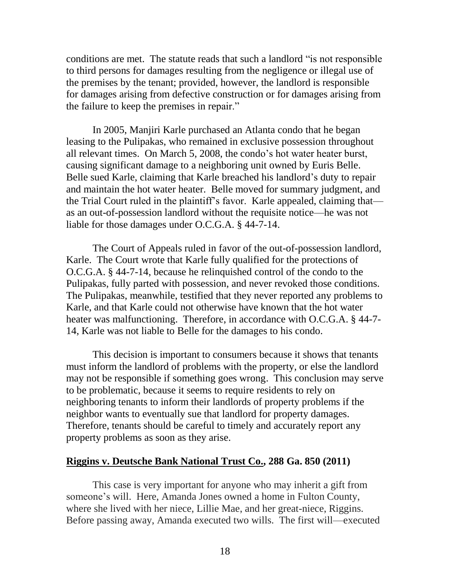conditions are met. The statute reads that such a landlord "is not responsible to third persons for damages resulting from the negligence or illegal use of the premises by the tenant; provided, however, the landlord is responsible for damages arising from defective construction or for damages arising from the failure to keep the premises in repair."

In 2005, Manjiri Karle purchased an Atlanta condo that he began leasing to the Pulipakas, who remained in exclusive possession throughout all relevant times. On March 5, 2008, the condo's hot water heater burst, causing significant damage to a neighboring unit owned by Euris Belle. Belle sued Karle, claiming that Karle breached his landlord's duty to repair and maintain the hot water heater. Belle moved for summary judgment, and the Trial Court ruled in the plaintiff's favor. Karle appealed, claiming that as an out-of-possession landlord without the requisite notice—he was not liable for those damages under O.C.G.A. § 44-7-14.

The Court of Appeals ruled in favor of the out-of-possession landlord, Karle. The Court wrote that Karle fully qualified for the protections of O.C.G.A. § 44-7-14, because he relinquished control of the condo to the Pulipakas, fully parted with possession, and never revoked those conditions. The Pulipakas, meanwhile, testified that they never reported any problems to Karle, and that Karle could not otherwise have known that the hot water heater was malfunctioning. Therefore, in accordance with O.C.G.A. § 44-7- 14, Karle was not liable to Belle for the damages to his condo.

This decision is important to consumers because it shows that tenants must inform the landlord of problems with the property, or else the landlord may not be responsible if something goes wrong. This conclusion may serve to be problematic, because it seems to require residents to rely on neighboring tenants to inform their landlords of property problems if the neighbor wants to eventually sue that landlord for property damages. Therefore, tenants should be careful to timely and accurately report any property problems as soon as they arise.

#### <span id="page-21-0"></span>**[Riggins v. Deutsche Bank National Trust Co., 288 Ga. 850 \(2011\)](http://www.gasupreme.us/sc-op/pdf/s10a1970.pdf)**

This case is very important for anyone who may inherit a gift from someone's will. Here, Amanda Jones owned a home in Fulton County, where she lived with her niece, Lillie Mae, and her great-niece, Riggins. Before passing away, Amanda executed two wills. The first will—executed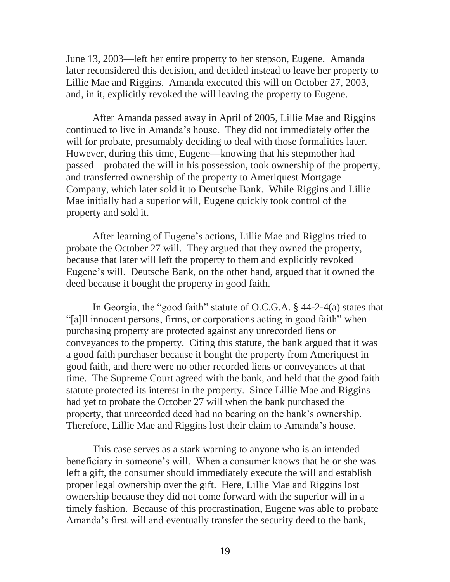June 13, 2003—left her entire property to her stepson, Eugene. Amanda later reconsidered this decision, and decided instead to leave her property to Lillie Mae and Riggins. Amanda executed this will on October 27, 2003, and, in it, explicitly revoked the will leaving the property to Eugene.

After Amanda passed away in April of 2005, Lillie Mae and Riggins continued to live in Amanda's house. They did not immediately offer the will for probate, presumably deciding to deal with those formalities later. However, during this time, Eugene—knowing that his stepmother had passed—probated the will in his possession, took ownership of the property, and transferred ownership of the property to Ameriquest Mortgage Company, which later sold it to Deutsche Bank. While Riggins and Lillie Mae initially had a superior will, Eugene quickly took control of the property and sold it.

After learning of Eugene's actions, Lillie Mae and Riggins tried to probate the October 27 will. They argued that they owned the property, because that later will left the property to them and explicitly revoked Eugene's will. Deutsche Bank, on the other hand, argued that it owned the deed because it bought the property in good faith.

In Georgia, the "good faith" statute of O.C.G.A. § 44-2-4(a) states that "[a]ll innocent persons, firms, or corporations acting in good faith" when purchasing property are protected against any unrecorded liens or conveyances to the property. Citing this statute, the bank argued that it was a good faith purchaser because it bought the property from Ameriquest in good faith, and there were no other recorded liens or conveyances at that time. The Supreme Court agreed with the bank, and held that the good faith statute protected its interest in the property. Since Lillie Mae and Riggins had yet to probate the October 27 will when the bank purchased the property, that unrecorded deed had no bearing on the bank's ownership. Therefore, Lillie Mae and Riggins lost their claim to Amanda's house.

This case serves as a stark warning to anyone who is an intended beneficiary in someone's will. When a consumer knows that he or she was left a gift, the consumer should immediately execute the will and establish proper legal ownership over the gift. Here, Lillie Mae and Riggins lost ownership because they did not come forward with the superior will in a timely fashion. Because of this procrastination, Eugene was able to probate Amanda's first will and eventually transfer the security deed to the bank,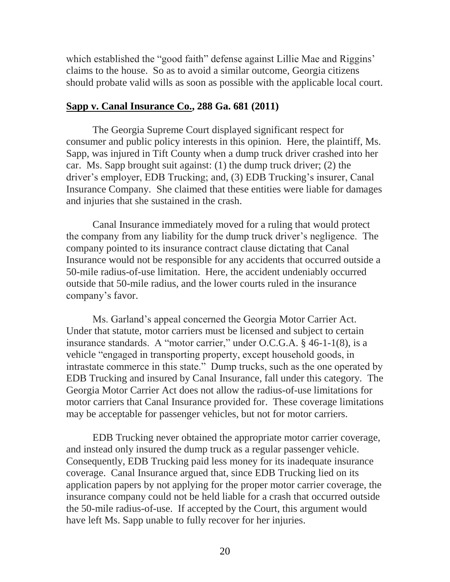which established the "good faith" defense against Lillie Mae and Riggins' claims to the house. So as to avoid a similar outcome, Georgia citizens should probate valid wills as soon as possible with the applicable local court.

# <span id="page-23-0"></span>**[Sapp v. Canal Insurance Co., 288 Ga. 681 \(2011\)](http://www.gasupreme.us/sc-op/pdf/s10g0619.pdf)**

The Georgia Supreme Court displayed significant respect for consumer and public policy interests in this opinion. Here, the plaintiff, Ms. Sapp, was injured in Tift County when a dump truck driver crashed into her car. Ms. Sapp brought suit against: (1) the dump truck driver; (2) the driver's employer, EDB Trucking; and, (3) EDB Trucking's insurer, Canal Insurance Company. She claimed that these entities were liable for damages and injuries that she sustained in the crash.

Canal Insurance immediately moved for a ruling that would protect the company from any liability for the dump truck driver's negligence. The company pointed to its insurance contract clause dictating that Canal Insurance would not be responsible for any accidents that occurred outside a 50-mile radius-of-use limitation. Here, the accident undeniably occurred outside that 50-mile radius, and the lower courts ruled in the insurance company's favor.

Ms. Garland's appeal concerned the Georgia Motor Carrier Act. Under that statute, motor carriers must be licensed and subject to certain insurance standards. A "motor carrier," under O.C.G.A. § 46-1-1(8), is a vehicle "engaged in transporting property, except household goods, in intrastate commerce in this state." Dump trucks, such as the one operated by EDB Trucking and insured by Canal Insurance, fall under this category. The Georgia Motor Carrier Act does not allow the radius-of-use limitations for motor carriers that Canal Insurance provided for. These coverage limitations may be acceptable for passenger vehicles, but not for motor carriers.

EDB Trucking never obtained the appropriate motor carrier coverage, and instead only insured the dump truck as a regular passenger vehicle. Consequently, EDB Trucking paid less money for its inadequate insurance coverage. Canal Insurance argued that, since EDB Trucking lied on its application papers by not applying for the proper motor carrier coverage, the insurance company could not be held liable for a crash that occurred outside the 50-mile radius-of-use. If accepted by the Court, this argument would have left Ms. Sapp unable to fully recover for her injuries.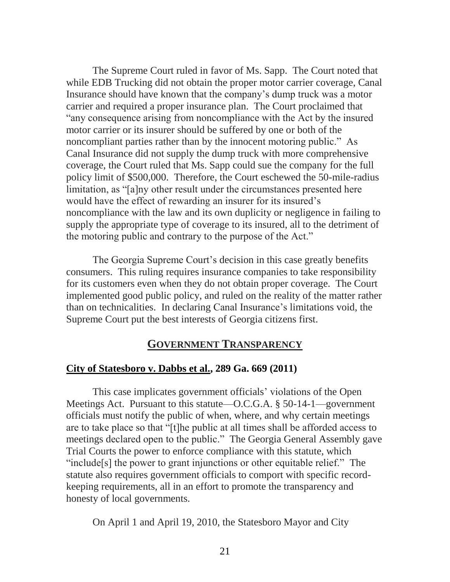The Supreme Court ruled in favor of Ms. Sapp. The Court noted that while EDB Trucking did not obtain the proper motor carrier coverage, Canal Insurance should have known that the company's dump truck was a motor carrier and required a proper insurance plan. The Court proclaimed that "any consequence arising from noncompliance with the Act by the insured motor carrier or its insurer should be suffered by one or both of the noncompliant parties rather than by the innocent motoring public." As Canal Insurance did not supply the dump truck with more comprehensive coverage, the Court ruled that Ms. Sapp could sue the company for the full policy limit of \$500,000. Therefore, the Court eschewed the 50-mile-radius limitation, as "[a]ny other result under the circumstances presented here would have the effect of rewarding an insurer for its insured's noncompliance with the law and its own duplicity or negligence in failing to supply the appropriate type of coverage to its insured, all to the detriment of the motoring public and contrary to the purpose of the Act."

The Georgia Supreme Court's decision in this case greatly benefits consumers. This ruling requires insurance companies to take responsibility for its customers even when they do not obtain proper coverage. The Court implemented good public policy, and ruled on the reality of the matter rather than on technicalities. In declaring Canal Insurance's limitations void, the Supreme Court put the best interests of Georgia citizens first.

# **GOVERNMENT TRANSPARENCY**

#### <span id="page-24-0"></span>**[City of Statesboro v. Dabbs et al., 289 Ga. 669 \(2011\)](http://www.gasupreme.us/sc-op/pdf/s11a0760.pdf)**

This case implicates government officials' violations of the Open Meetings Act. Pursuant to this statute—O.C.G.A. § 50-14-1—government officials must notify the public of when, where, and why certain meetings are to take place so that "[t]he public at all times shall be afforded access to meetings declared open to the public." The Georgia General Assembly gave Trial Courts the power to enforce compliance with this statute, which "include[s] the power to grant injunctions or other equitable relief." The statute also requires government officials to comport with specific recordkeeping requirements, all in an effort to promote the transparency and honesty of local governments.

On April 1 and April 19, 2010, the Statesboro Mayor and City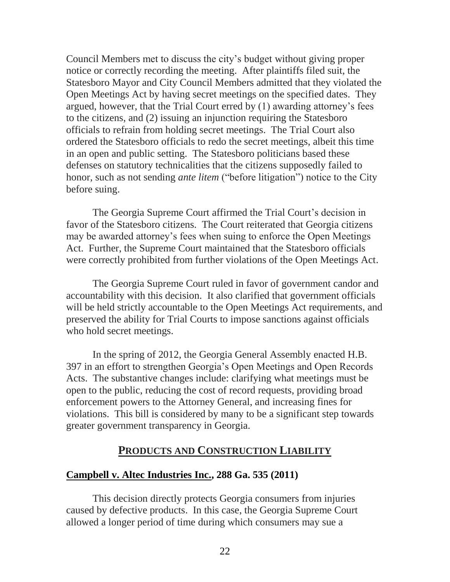Council Members met to discuss the city's budget without giving proper notice or correctly recording the meeting. After plaintiffs filed suit, the Statesboro Mayor and City Council Members admitted that they violated the Open Meetings Act by having secret meetings on the specified dates. They argued, however, that the Trial Court erred by (1) awarding attorney's fees to the citizens, and (2) issuing an injunction requiring the Statesboro officials to refrain from holding secret meetings. The Trial Court also ordered the Statesboro officials to redo the secret meetings, albeit this time in an open and public setting. The Statesboro politicians based these defenses on statutory technicalities that the citizens supposedly failed to honor, such as not sending *ante litem* ("before litigation") notice to the City before suing.

The Georgia Supreme Court affirmed the Trial Court's decision in favor of the Statesboro citizens. The Court reiterated that Georgia citizens may be awarded attorney's fees when suing to enforce the Open Meetings Act. Further, the Supreme Court maintained that the Statesboro officials were correctly prohibited from further violations of the Open Meetings Act.

The Georgia Supreme Court ruled in favor of government candor and accountability with this decision. It also clarified that government officials will be held strictly accountable to the Open Meetings Act requirements, and preserved the ability for Trial Courts to impose sanctions against officials who hold secret meetings.

In the spring of 2012, the Georgia General Assembly enacted H.B. 397 in an effort to strengthen Georgia's Open Meetings and Open Records Acts. The substantive changes include: clarifying what meetings must be open to the public, reducing the cost of record requests, providing broad enforcement powers to the Attorney General, and increasing fines for violations. This bill is considered by many to be a significant step towards greater government transparency in Georgia.

# **PRODUCTS AND CONSTRUCTION LIABILITY**

#### <span id="page-25-0"></span>**[Campbell v. Altec Industries Inc., 288 Ga. 535 \(2011\)](http://www.gasupreme.us/sc-op/pdf/s10q1379.pdf)**

This decision directly protects Georgia consumers from injuries caused by defective products. In this case, the Georgia Supreme Court allowed a longer period of time during which consumers may sue a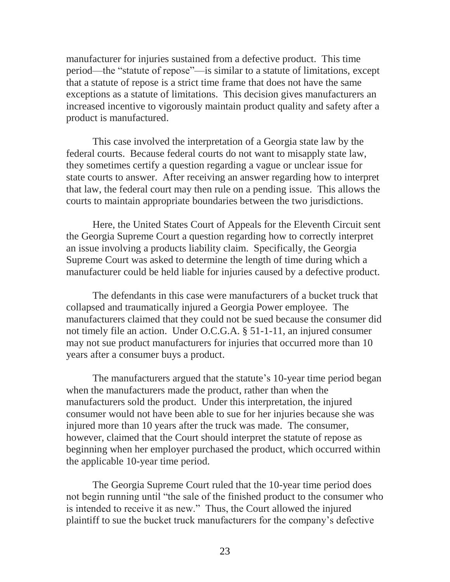manufacturer for injuries sustained from a defective product. This time period—the "statute of repose"—is similar to a statute of limitations, except that a statute of repose is a strict time frame that does not have the same exceptions as a statute of limitations. This decision gives manufacturers an increased incentive to vigorously maintain product quality and safety after a product is manufactured.

This case involved the interpretation of a Georgia state law by the federal courts. Because federal courts do not want to misapply state law, they sometimes certify a question regarding a vague or unclear issue for state courts to answer. After receiving an answer regarding how to interpret that law, the federal court may then rule on a pending issue. This allows the courts to maintain appropriate boundaries between the two jurisdictions.

Here, the United States Court of Appeals for the Eleventh Circuit sent the Georgia Supreme Court a question regarding how to correctly interpret an issue involving a products liability claim. Specifically, the Georgia Supreme Court was asked to determine the length of time during which a manufacturer could be held liable for injuries caused by a defective product.

The defendants in this case were manufacturers of a bucket truck that collapsed and traumatically injured a Georgia Power employee. The manufacturers claimed that they could not be sued because the consumer did not timely file an action. Under O.C.G.A. § 51-1-11, an injured consumer may not sue product manufacturers for injuries that occurred more than 10 years after a consumer buys a product.

The manufacturers argued that the statute's 10-year time period began when the manufacturers made the product, rather than when the manufacturers sold the product. Under this interpretation, the injured consumer would not have been able to sue for her injuries because she was injured more than 10 years after the truck was made. The consumer, however, claimed that the Court should interpret the statute of repose as beginning when her employer purchased the product, which occurred within the applicable 10-year time period.

The Georgia Supreme Court ruled that the 10-year time period does not begin running until "the sale of the finished product to the consumer who is intended to receive it as new." Thus, the Court allowed the injured plaintiff to sue the bucket truck manufacturers for the company's defective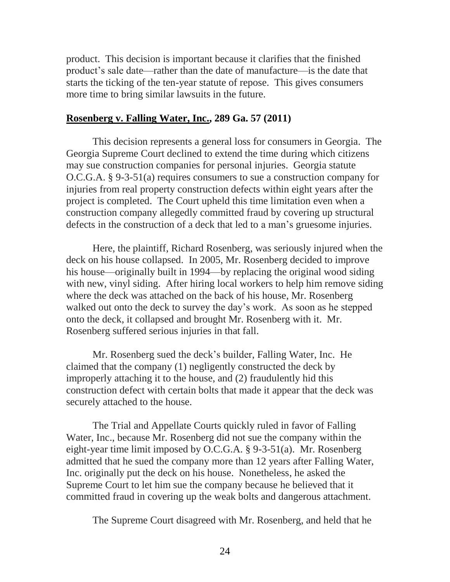product. This decision is important because it clarifies that the finished product's sale date—rather than the date of manufacture—is the date that starts the ticking of the ten-year statute of repose. This gives consumers more time to bring similar lawsuits in the future.

#### <span id="page-27-0"></span>**[Rosenberg v. Falling Water, Inc., 289 Ga. 57 \(2011\)](http://www.gasupreme.us/sc-op/pdf/s10g0877.pdf)**

This decision represents a general loss for consumers in Georgia. The Georgia Supreme Court declined to extend the time during which citizens may sue construction companies for personal injuries. Georgia statute O.C.G.A. § 9-3-51(a) requires consumers to sue a construction company for injuries from real property construction defects within eight years after the project is completed. The Court upheld this time limitation even when a construction company allegedly committed fraud by covering up structural defects in the construction of a deck that led to a man's gruesome injuries.

Here, the plaintiff, Richard Rosenberg, was seriously injured when the deck on his house collapsed. In 2005, Mr. Rosenberg decided to improve his house—originally built in 1994—by replacing the original wood siding with new, vinyl siding. After hiring local workers to help him remove siding where the deck was attached on the back of his house, Mr. Rosenberg walked out onto the deck to survey the day's work. As soon as he stepped onto the deck, it collapsed and brought Mr. Rosenberg with it. Mr. Rosenberg suffered serious injuries in that fall.

Mr. Rosenberg sued the deck's builder, Falling Water, Inc. He claimed that the company (1) negligently constructed the deck by improperly attaching it to the house, and (2) fraudulently hid this construction defect with certain bolts that made it appear that the deck was securely attached to the house.

The Trial and Appellate Courts quickly ruled in favor of Falling Water, Inc., because Mr. Rosenberg did not sue the company within the eight-year time limit imposed by O.C.G.A. § 9-3-51(a). Mr. Rosenberg admitted that he sued the company more than 12 years after Falling Water, Inc. originally put the deck on his house. Nonetheless, he asked the Supreme Court to let him sue the company because he believed that it committed fraud in covering up the weak bolts and dangerous attachment.

The Supreme Court disagreed with Mr. Rosenberg, and held that he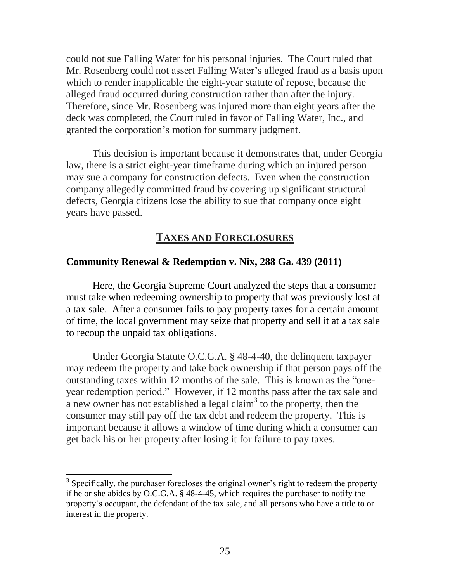could not sue Falling Water for his personal injuries. The Court ruled that Mr. Rosenberg could not assert Falling Water's alleged fraud as a basis upon which to render inapplicable the eight-year statute of repose, because the alleged fraud occurred during construction rather than after the injury. Therefore, since Mr. Rosenberg was injured more than eight years after the deck was completed, the Court ruled in favor of Falling Water, Inc., and granted the corporation's motion for summary judgment.

This decision is important because it demonstrates that, under Georgia law, there is a strict eight-year timeframe during which an injured person may sue a company for construction defects. Even when the construction company allegedly committed fraud by covering up significant structural defects, Georgia citizens lose the ability to sue that company once eight years have passed.

# **TAXES AND FORECLOSURES**

#### <span id="page-28-0"></span>**[Community Renewal & Redemption v. Nix, 288 Ga. 439 \(2011\)](http://www.gasupreme.us/sc-op/pdf/s10a1727.pdf)**

Here, the Georgia Supreme Court analyzed the steps that a consumer must take when redeeming ownership to property that was previously lost at a tax sale. After a consumer fails to pay property taxes for a certain amount of time, the local government may seize that property and sell it at a tax sale to recoup the unpaid tax obligations.

Under Georgia Statute O.C.G.A. § 48-4-40, the delinquent taxpayer may redeem the property and take back ownership if that person pays off the outstanding taxes within 12 months of the sale. This is known as the "oneyear redemption period." However, if 12 months pass after the tax sale and a new owner has not established a legal claim<sup>3</sup> to the property, then the consumer may still pay off the tax debt and redeem the property. This is important because it allows a window of time during which a consumer can get back his or her property after losing it for failure to pay taxes.

<sup>&</sup>lt;sup>3</sup> Specifically, the purchaser forecloses the original owner's right to redeem the property if he or she abides by O.C.G.A. § 48-4-45, which requires the purchaser to notify the property's occupant, the defendant of the tax sale, and all persons who have a title to or interest in the property.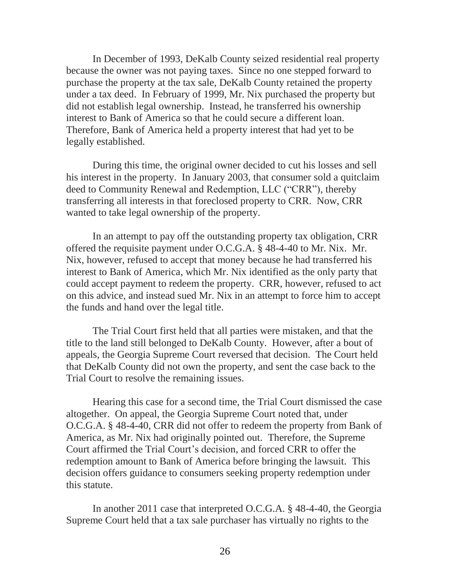In December of 1993, DeKalb County seized residential real property because the owner was not paying taxes. Since no one stepped forward to purchase the property at the tax sale, DeKalb County retained the property under a tax deed. In February of 1999, Mr. Nix purchased the property but did not establish legal ownership. Instead, he transferred his ownership interest to Bank of America so that he could secure a different loan. Therefore, Bank of America held a property interest that had yet to be legally established.

During this time, the original owner decided to cut his losses and sell his interest in the property. In January 2003, that consumer sold a quitclaim deed to Community Renewal and Redemption, LLC ("CRR"), thereby transferring all interests in that foreclosed property to CRR. Now, CRR wanted to take legal ownership of the property.

In an attempt to pay off the outstanding property tax obligation, CRR offered the requisite payment under O.C.G.A. § 48-4-40 to Mr. Nix. Mr. Nix, however, refused to accept that money because he had transferred his interest to Bank of America, which Mr. Nix identified as the only party that could accept payment to redeem the property. CRR, however, refused to act on this advice, and instead sued Mr. Nix in an attempt to force him to accept the funds and hand over the legal title.

The Trial Court first held that all parties were mistaken, and that the title to the land still belonged to DeKalb County. However, after a bout of appeals, the Georgia Supreme Court reversed that decision. The Court held that DeKalb County did not own the property, and sent the case back to the Trial Court to resolve the remaining issues.

Hearing this case for a second time, the Trial Court dismissed the case altogether. On appeal, the Georgia Supreme Court noted that, under O.C.G.A. § 48-4-40, CRR did not offer to redeem the property from Bank of America, as Mr. Nix had originally pointed out. Therefore, the Supreme Court affirmed the Trial Court's decision, and forced CRR to offer the redemption amount to Bank of America before bringing the lawsuit. This decision offers guidance to consumers seeking property redemption under this statute.

In another 2011 case that interpreted O.C.G.A. § 48-4-40, the Georgia Supreme Court held that a tax sale purchaser has virtually no rights to the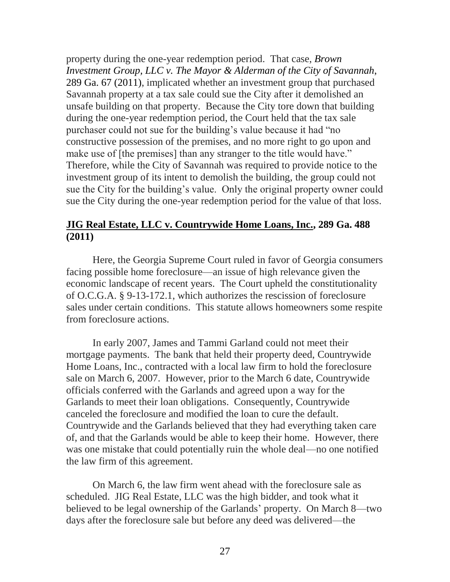property during the one-year redemption period. That case, *[Brown](http://www.gasupreme.us/sc-op/pdf/s10g1471.pdf)  [Investment Group, LLC v. The Mayor &](http://www.gasupreme.us/sc-op/pdf/s10g1471.pdf) Alderman of the City of Savannah*, [289 Ga. 67 \(2011\),](http://www.gasupreme.us/sc-op/pdf/s10g1471.pdf) implicated whether an investment group that purchased Savannah property at a tax sale could sue the City after it demolished an unsafe building on that property. Because the City tore down that building during the one-year redemption period, the Court held that the tax sale purchaser could not sue for the building's value because it had "no constructive possession of the premises, and no more right to go upon and make use of [the premises] than any stranger to the title would have." Therefore, while the City of Savannah was required to provide notice to the investment group of its intent to demolish the building, the group could not sue the City for the building's value. Only the original property owner could sue the City during the one-year redemption period for the value of that loss.

# <span id="page-30-0"></span>**[JIG Real Estate, LLC v. Countrywide Home Loans, Inc., 289 Ga. 488](http://www.gasupreme.us/sc-op/pdf/s11a0046.pdf)  [\(2011\)](http://www.gasupreme.us/sc-op/pdf/s11a0046.pdf)**

Here, the Georgia Supreme Court ruled in favor of Georgia consumers facing possible home foreclosure—an issue of high relevance given the economic landscape of recent years. The Court upheld the constitutionality of O.C.G.A. § 9-13-172.1, which authorizes the rescission of foreclosure sales under certain conditions. This statute allows homeowners some respite from foreclosure actions.

In early 2007, James and Tammi Garland could not meet their mortgage payments. The bank that held their property deed, Countrywide Home Loans, Inc., contracted with a local law firm to hold the foreclosure sale on March 6, 2007. However, prior to the March 6 date, Countrywide officials conferred with the Garlands and agreed upon a way for the Garlands to meet their loan obligations. Consequently, Countrywide canceled the foreclosure and modified the loan to cure the default. Countrywide and the Garlands believed that they had everything taken care of, and that the Garlands would be able to keep their home. However, there was one mistake that could potentially ruin the whole deal—no one notified the law firm of this agreement.

On March 6, the law firm went ahead with the foreclosure sale as scheduled. JIG Real Estate, LLC was the high bidder, and took what it believed to be legal ownership of the Garlands' property. On March 8—two days after the foreclosure sale but before any deed was delivered—the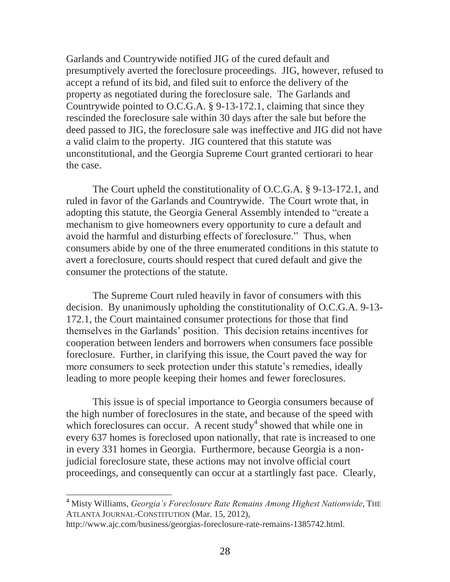Garlands and Countrywide notified JIG of the cured default and presumptively averted the foreclosure proceedings. JIG, however, refused to accept a refund of its bid, and filed suit to enforce the delivery of the property as negotiated during the foreclosure sale. The Garlands and Countrywide pointed to O.C.G.A. § 9-13-172.1, claiming that since they rescinded the foreclosure sale within 30 days after the sale but before the deed passed to JIG, the foreclosure sale was ineffective and JIG did not have a valid claim to the property. JIG countered that this statute was unconstitutional, and the Georgia Supreme Court granted certiorari to hear the case.

The Court upheld the constitutionality of O.C.G.A. § 9-13-172.1, and ruled in favor of the Garlands and Countrywide. The Court wrote that, in adopting this statute, the Georgia General Assembly intended to "create a mechanism to give homeowners every opportunity to cure a default and avoid the harmful and disturbing effects of foreclosure." Thus, when consumers abide by one of the three enumerated conditions in this statute to avert a foreclosure, courts should respect that cured default and give the consumer the protections of the statute.

The Supreme Court ruled heavily in favor of consumers with this decision. By unanimously upholding the constitutionality of O.C.G.A. 9-13- 172.1, the Court maintained consumer protections for those that find themselves in the Garlands' position. This decision retains incentives for cooperation between lenders and borrowers when consumers face possible foreclosure. Further, in clarifying this issue, the Court paved the way for more consumers to seek protection under this statute's remedies, ideally leading to more people keeping their homes and fewer foreclosures.

This issue is of special importance to Georgia consumers because of the high number of foreclosures in the state, and because of the speed with which foreclosures can occur. A recent study<sup>4</sup> showed that while one in every 637 homes is foreclosed upon nationally, that rate is increased to one in every 331 homes in Georgia. Furthermore, because Georgia is a nonjudicial foreclosure state, these actions may not involve official court proceedings, and consequently can occur at a startlingly fast pace. Clearly,

l

<sup>4</sup> Misty Williams, *Georgia's Foreclosure Rate Remains Among Highest Nationwide*, THE ATLANTA JOURNAL-CONSTITUTION (Mar. 15, 2012),

http://www.ajc.com/business/georgias-foreclosure-rate-remains-1385742.html.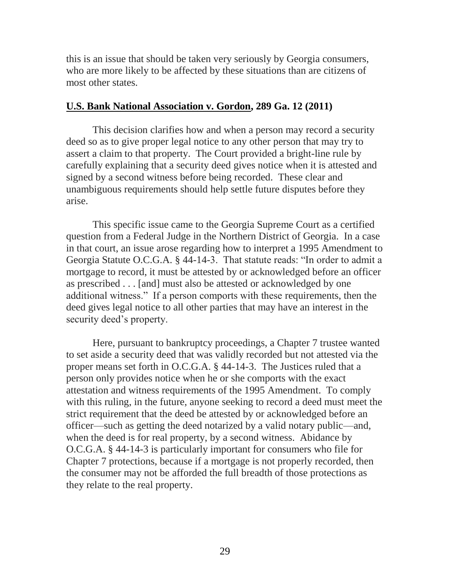this is an issue that should be taken very seriously by Georgia consumers, who are more likely to be affected by these situations than are citizens of most other states.

# <span id="page-32-0"></span>**U.S. [Bank National Association v. Gordon, 289 Ga. 12 \(2011\)](http://www.gasupreme.us/sc-op/pdf/s10q1564.pdf)**

This decision clarifies how and when a person may record a security deed so as to give proper legal notice to any other person that may try to assert a claim to that property. The Court provided a bright-line rule by carefully explaining that a security deed gives notice when it is attested and signed by a second witness before being recorded. These clear and unambiguous requirements should help settle future disputes before they arise.

This specific issue came to the Georgia Supreme Court as a certified question from a Federal Judge in the Northern District of Georgia. In a case in that court, an issue arose regarding how to interpret a 1995 Amendment to Georgia Statute O.C.G.A. § 44-14-3. That statute reads: "In order to admit a mortgage to record, it must be attested by or acknowledged before an officer as prescribed . . . [and] must also be attested or acknowledged by one additional witness." If a person comports with these requirements, then the deed gives legal notice to all other parties that may have an interest in the security deed's property.

Here, pursuant to bankruptcy proceedings, a Chapter 7 trustee wanted to set aside a security deed that was validly recorded but not attested via the proper means set forth in O.C.G.A. § 44-14-3. The Justices ruled that a person only provides notice when he or she comports with the exact attestation and witness requirements of the 1995 Amendment. To comply with this ruling, in the future, anyone seeking to record a deed must meet the strict requirement that the deed be attested by or acknowledged before an officer—such as getting the deed notarized by a valid notary public—and, when the deed is for real property, by a second witness. Abidance by O.C.G.A. § 44-14-3 is particularly important for consumers who file for Chapter 7 protections, because if a mortgage is not properly recorded, then the consumer may not be afforded the full breadth of those protections as they relate to the real property.